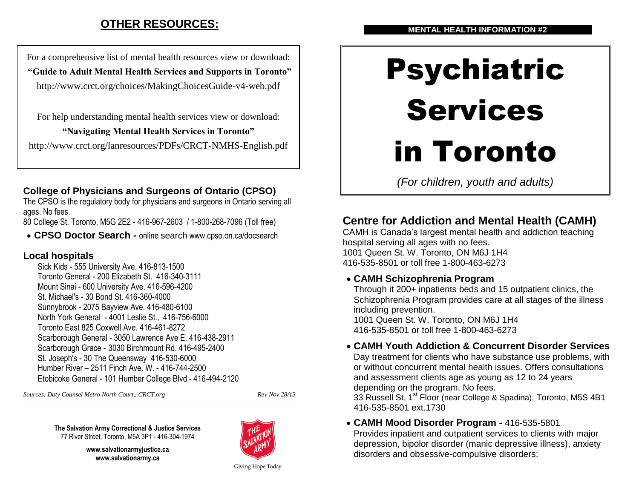# **OTHER RESOURCES:**

For a comprehensive list of mental health resources view or download: **"Guide to Adult Mental Health Services and Supports in Toronto"** http://www.crct.org/choices/MakingChoicesGuide-v4-web.pdf

For help understanding mental health services view or download:

### **"Navigating Mental Health Services in Toronto"**

http://www.crct.org/lanresources/PDFs/CRCT-NMHS-English.pdf

# **College of Physicians and Surgeons of Ontario (CPSO)**

The CPSO is the regulatory body for physicians and surgeons in Ontario serving all ages. No fees.

80 College St. Toronto, M5G 2E2 - 416-967-2603 / 1-800-268-7096 (Toll free)

**CPSO Doctor Search -** online search www.cpso.on.ca/docsearch

# **Local hospitals**

[Sick Kids](http://www.sickkids.ca/) - 555 University Ave. 416-813-1500 Toronto General - 200 Elizabeth St. 416-340-3111 Mount Sinai - 600 University Ave. 416-596-4200 St. Michael's - 30 Bond St. 416-360-4000 Sunnybrook - 2075 Bayview Ave. 416-480-6100 North York General - 4001 Leslie St., 416-756-6000 Toronto East 825 Coxwell Ave. 416-461-8272 Scarborough General - 3050 Lawrence Ave E. 416-438-2911 Scarborough Grace - 3030 Birchmount Rd. 416-495-2400 St. Joseph's - 30 The Queensway 416-530-6000 Humber River – 2511 Finch Ave. W. - 416-744-2500 Etobicoke General - 101 Humber College Blvd - 416-494-2120

*Sources: Duty Counsel Metro North Court,, CRCT.org Rev Nov 28/13*

**The Salvation Army Correctional & Justice Services** 77 River Street, Toronto, M5A 3P1 - 416-304-1974

> **www.salvationarmyjustice.ca www.salvationarmy.ca**



# Psychiatric Services in Toronto

*(For children, youth and adults)*

# **Centre for Addiction and Mental Health (CAMH)**

CAMH is Canada's largest mental health and addiction teaching hospital serving all ages with no fees. 1001 Queen St. W. Toronto, ON M6J 1H4 416-535-8501 or toll free 1-800-463-6273

# **CAMH Schizophrenia Program**

Through it 200+ inpatients beds and 15 outpatient clinics, the Schizophrenia Program provides care at all stages of the illness including prevention.

1001 Queen St. W. Toronto, ON M6J 1H4 416-535-8501 or toll free 1-800-463-6273

**CAMH Youth Addiction & Concurrent Disorder Services** 

Day treatment for clients who have substance use problems, with or without concurrent mental health issues. Offers consultations and assessment clients age as young as 12 to 24 years depending on the program. No fees.

33 Russell St, 1<sup>st</sup> Floor (near College & Spadina), Toronto, M5S 4B1 416-535-8501 ext.1730

## **CAMH Mood Disorder Program -** 416-535-5801

Provides inpatient and outpatient services to clients with major depression, bipolor disorder (manic depressive illness), anxiety disorders and obsessive-compulsive disorders:

Giving Hope Today